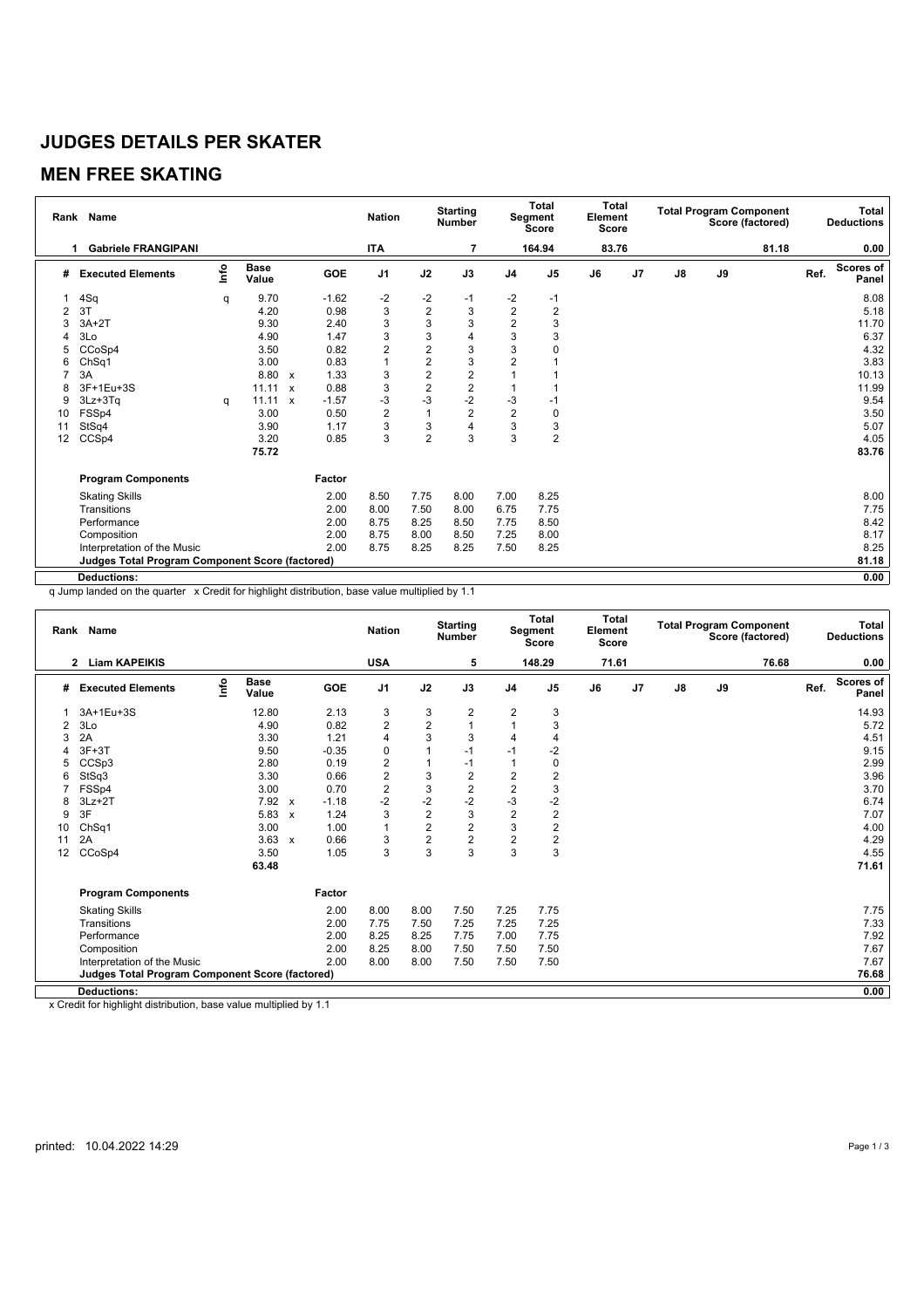# **JUDGES DETAILS PER SKATER**

# **MEN FREE SKATING**

| <b>ITA</b><br>164.94<br>83.76<br>81.18<br><b>Gabriele FRANGIPANI</b><br>7<br>0.00<br>1<br>Scores of<br>lnfo<br><b>Base</b><br><b>GOE</b><br>J <sub>1</sub><br>J2<br>J3<br>$\mathsf{J}8$<br>J9<br>Ref.<br>J <sub>4</sub><br>J <sub>5</sub><br>J6<br>J <sub>7</sub><br><b>Executed Elements</b><br>#<br>Value<br>Panel<br>9.70<br>-2<br>$-2$<br>4Sq<br>$-1.62$<br>$-2$<br>8.08<br>$-1$<br>-1<br>q<br>$\overline{2}$<br>$\mathbf 2$<br>3<br>3<br>$\overline{2}$<br>3T<br>4.20<br>0.98<br>5.18<br>2<br>$\mathbf 2$<br>3<br>3<br>3<br>3<br>$3A+2T$<br>9.30<br>11.70<br>2.40<br>3<br>3<br>3<br>3<br>$\overline{4}$<br>3Lo<br>4.90<br>1.47<br>3<br>6.37<br>$\overline{2}$<br>3<br>$\overline{2}$<br>3<br>CCoSp4<br>3.50<br>0.82<br>4.32<br>5<br>$\overline{2}$<br>3<br>$\overline{2}$<br>3.00<br>1<br>3.83<br>Ch <sub>Sq1</sub><br>0.83<br>6<br>$\overline{c}$<br>$\overline{\mathbf{c}}$<br>3<br>10.13<br>3A<br>8.80<br>1.33<br>$\boldsymbol{\mathsf{x}}$<br>$\overline{2}$<br>$\overline{2}$<br>3<br>0.88<br>11.99<br>3F+1Eu+3S<br>11.11 x<br>8<br>$-2$<br>$-3$<br>-3<br>-3<br>$-1.57$<br>9.54<br>$3Lz + 3Tq$<br>11.11<br>9<br>$\boldsymbol{\mathsf{x}}$<br>-1<br>q<br>$\overline{2}$<br>$\sqrt{2}$<br>$\overline{2}$<br>1<br>3.50<br>FSSp4<br>3.00<br>0.50<br>0<br>10<br>3<br>3<br>3<br>4<br>StSq4<br>3<br>5.07<br>3.90<br>1.17<br>11<br>$\overline{2}$<br>3<br>$\overline{2}$<br>3<br>3<br>CCSp4<br>3.20<br>0.85<br>4.05<br>12<br>83.76<br>75.72<br><b>Program Components</b><br>Factor<br>2.00<br>7.75<br>7.00<br>8.25<br>8.00<br><b>Skating Skills</b><br>8.50<br>8.00<br>2.00<br>8.00<br>7.75<br>Transitions<br>7.50<br>8.00<br>6.75<br>7.75<br>8.42<br>2.00<br>8.75<br>8.50<br>Performance<br>8.25<br>7.75<br>8.50<br>8.17<br>Composition<br>2.00<br>8.75<br>8.00<br>8.00<br>8.50<br>7.25<br>2.00<br>8.25<br>8.75<br>8.25<br>8.25<br>Interpretation of the Music<br>8.25<br>7.50<br>81.18<br><b>Judges Total Program Component Score (factored)</b> | Rank Name          | <b>Nation</b> | <b>Starting</b><br><b>Number</b> | <b>Total</b><br>Segment<br><b>Score</b> |  | Total<br>Element<br><b>Score</b> |  | <b>Total Program Component</b><br>Score (factored) |  |  | <b>Total</b><br><b>Deductions</b> |  |      |
|------------------------------------------------------------------------------------------------------------------------------------------------------------------------------------------------------------------------------------------------------------------------------------------------------------------------------------------------------------------------------------------------------------------------------------------------------------------------------------------------------------------------------------------------------------------------------------------------------------------------------------------------------------------------------------------------------------------------------------------------------------------------------------------------------------------------------------------------------------------------------------------------------------------------------------------------------------------------------------------------------------------------------------------------------------------------------------------------------------------------------------------------------------------------------------------------------------------------------------------------------------------------------------------------------------------------------------------------------------------------------------------------------------------------------------------------------------------------------------------------------------------------------------------------------------------------------------------------------------------------------------------------------------------------------------------------------------------------------------------------------------------------------------------------------------------------------------------------------------------------------------------------------------------------------------------------------|--------------------|---------------|----------------------------------|-----------------------------------------|--|----------------------------------|--|----------------------------------------------------|--|--|-----------------------------------|--|------|
|                                                                                                                                                                                                                                                                                                                                                                                                                                                                                                                                                                                                                                                                                                                                                                                                                                                                                                                                                                                                                                                                                                                                                                                                                                                                                                                                                                                                                                                                                                                                                                                                                                                                                                                                                                                                                                                                                                                                                      |                    |               |                                  |                                         |  |                                  |  |                                                    |  |  |                                   |  |      |
|                                                                                                                                                                                                                                                                                                                                                                                                                                                                                                                                                                                                                                                                                                                                                                                                                                                                                                                                                                                                                                                                                                                                                                                                                                                                                                                                                                                                                                                                                                                                                                                                                                                                                                                                                                                                                                                                                                                                                      |                    |               |                                  |                                         |  |                                  |  |                                                    |  |  |                                   |  |      |
|                                                                                                                                                                                                                                                                                                                                                                                                                                                                                                                                                                                                                                                                                                                                                                                                                                                                                                                                                                                                                                                                                                                                                                                                                                                                                                                                                                                                                                                                                                                                                                                                                                                                                                                                                                                                                                                                                                                                                      |                    |               |                                  |                                         |  |                                  |  |                                                    |  |  |                                   |  |      |
|                                                                                                                                                                                                                                                                                                                                                                                                                                                                                                                                                                                                                                                                                                                                                                                                                                                                                                                                                                                                                                                                                                                                                                                                                                                                                                                                                                                                                                                                                                                                                                                                                                                                                                                                                                                                                                                                                                                                                      |                    |               |                                  |                                         |  |                                  |  |                                                    |  |  |                                   |  |      |
|                                                                                                                                                                                                                                                                                                                                                                                                                                                                                                                                                                                                                                                                                                                                                                                                                                                                                                                                                                                                                                                                                                                                                                                                                                                                                                                                                                                                                                                                                                                                                                                                                                                                                                                                                                                                                                                                                                                                                      |                    |               |                                  |                                         |  |                                  |  |                                                    |  |  |                                   |  |      |
|                                                                                                                                                                                                                                                                                                                                                                                                                                                                                                                                                                                                                                                                                                                                                                                                                                                                                                                                                                                                                                                                                                                                                                                                                                                                                                                                                                                                                                                                                                                                                                                                                                                                                                                                                                                                                                                                                                                                                      |                    |               |                                  |                                         |  |                                  |  |                                                    |  |  |                                   |  |      |
|                                                                                                                                                                                                                                                                                                                                                                                                                                                                                                                                                                                                                                                                                                                                                                                                                                                                                                                                                                                                                                                                                                                                                                                                                                                                                                                                                                                                                                                                                                                                                                                                                                                                                                                                                                                                                                                                                                                                                      |                    |               |                                  |                                         |  |                                  |  |                                                    |  |  |                                   |  |      |
|                                                                                                                                                                                                                                                                                                                                                                                                                                                                                                                                                                                                                                                                                                                                                                                                                                                                                                                                                                                                                                                                                                                                                                                                                                                                                                                                                                                                                                                                                                                                                                                                                                                                                                                                                                                                                                                                                                                                                      |                    |               |                                  |                                         |  |                                  |  |                                                    |  |  |                                   |  |      |
|                                                                                                                                                                                                                                                                                                                                                                                                                                                                                                                                                                                                                                                                                                                                                                                                                                                                                                                                                                                                                                                                                                                                                                                                                                                                                                                                                                                                                                                                                                                                                                                                                                                                                                                                                                                                                                                                                                                                                      |                    |               |                                  |                                         |  |                                  |  |                                                    |  |  |                                   |  |      |
|                                                                                                                                                                                                                                                                                                                                                                                                                                                                                                                                                                                                                                                                                                                                                                                                                                                                                                                                                                                                                                                                                                                                                                                                                                                                                                                                                                                                                                                                                                                                                                                                                                                                                                                                                                                                                                                                                                                                                      |                    |               |                                  |                                         |  |                                  |  |                                                    |  |  |                                   |  |      |
|                                                                                                                                                                                                                                                                                                                                                                                                                                                                                                                                                                                                                                                                                                                                                                                                                                                                                                                                                                                                                                                                                                                                                                                                                                                                                                                                                                                                                                                                                                                                                                                                                                                                                                                                                                                                                                                                                                                                                      |                    |               |                                  |                                         |  |                                  |  |                                                    |  |  |                                   |  |      |
|                                                                                                                                                                                                                                                                                                                                                                                                                                                                                                                                                                                                                                                                                                                                                                                                                                                                                                                                                                                                                                                                                                                                                                                                                                                                                                                                                                                                                                                                                                                                                                                                                                                                                                                                                                                                                                                                                                                                                      |                    |               |                                  |                                         |  |                                  |  |                                                    |  |  |                                   |  |      |
|                                                                                                                                                                                                                                                                                                                                                                                                                                                                                                                                                                                                                                                                                                                                                                                                                                                                                                                                                                                                                                                                                                                                                                                                                                                                                                                                                                                                                                                                                                                                                                                                                                                                                                                                                                                                                                                                                                                                                      |                    |               |                                  |                                         |  |                                  |  |                                                    |  |  |                                   |  |      |
|                                                                                                                                                                                                                                                                                                                                                                                                                                                                                                                                                                                                                                                                                                                                                                                                                                                                                                                                                                                                                                                                                                                                                                                                                                                                                                                                                                                                                                                                                                                                                                                                                                                                                                                                                                                                                                                                                                                                                      |                    |               |                                  |                                         |  |                                  |  |                                                    |  |  |                                   |  |      |
|                                                                                                                                                                                                                                                                                                                                                                                                                                                                                                                                                                                                                                                                                                                                                                                                                                                                                                                                                                                                                                                                                                                                                                                                                                                                                                                                                                                                                                                                                                                                                                                                                                                                                                                                                                                                                                                                                                                                                      |                    |               |                                  |                                         |  |                                  |  |                                                    |  |  |                                   |  |      |
|                                                                                                                                                                                                                                                                                                                                                                                                                                                                                                                                                                                                                                                                                                                                                                                                                                                                                                                                                                                                                                                                                                                                                                                                                                                                                                                                                                                                                                                                                                                                                                                                                                                                                                                                                                                                                                                                                                                                                      |                    |               |                                  |                                         |  |                                  |  |                                                    |  |  |                                   |  |      |
|                                                                                                                                                                                                                                                                                                                                                                                                                                                                                                                                                                                                                                                                                                                                                                                                                                                                                                                                                                                                                                                                                                                                                                                                                                                                                                                                                                                                                                                                                                                                                                                                                                                                                                                                                                                                                                                                                                                                                      |                    |               |                                  |                                         |  |                                  |  |                                                    |  |  |                                   |  |      |
|                                                                                                                                                                                                                                                                                                                                                                                                                                                                                                                                                                                                                                                                                                                                                                                                                                                                                                                                                                                                                                                                                                                                                                                                                                                                                                                                                                                                                                                                                                                                                                                                                                                                                                                                                                                                                                                                                                                                                      |                    |               |                                  |                                         |  |                                  |  |                                                    |  |  |                                   |  |      |
|                                                                                                                                                                                                                                                                                                                                                                                                                                                                                                                                                                                                                                                                                                                                                                                                                                                                                                                                                                                                                                                                                                                                                                                                                                                                                                                                                                                                                                                                                                                                                                                                                                                                                                                                                                                                                                                                                                                                                      |                    |               |                                  |                                         |  |                                  |  |                                                    |  |  |                                   |  |      |
|                                                                                                                                                                                                                                                                                                                                                                                                                                                                                                                                                                                                                                                                                                                                                                                                                                                                                                                                                                                                                                                                                                                                                                                                                                                                                                                                                                                                                                                                                                                                                                                                                                                                                                                                                                                                                                                                                                                                                      |                    |               |                                  |                                         |  |                                  |  |                                                    |  |  |                                   |  |      |
|                                                                                                                                                                                                                                                                                                                                                                                                                                                                                                                                                                                                                                                                                                                                                                                                                                                                                                                                                                                                                                                                                                                                                                                                                                                                                                                                                                                                                                                                                                                                                                                                                                                                                                                                                                                                                                                                                                                                                      |                    |               |                                  |                                         |  |                                  |  |                                                    |  |  |                                   |  |      |
|                                                                                                                                                                                                                                                                                                                                                                                                                                                                                                                                                                                                                                                                                                                                                                                                                                                                                                                                                                                                                                                                                                                                                                                                                                                                                                                                                                                                                                                                                                                                                                                                                                                                                                                                                                                                                                                                                                                                                      |                    |               |                                  |                                         |  |                                  |  |                                                    |  |  |                                   |  |      |
|                                                                                                                                                                                                                                                                                                                                                                                                                                                                                                                                                                                                                                                                                                                                                                                                                                                                                                                                                                                                                                                                                                                                                                                                                                                                                                                                                                                                                                                                                                                                                                                                                                                                                                                                                                                                                                                                                                                                                      | <b>Deductions:</b> |               |                                  |                                         |  |                                  |  |                                                    |  |  |                                   |  | 0.00 |

q Jump landed on the quarter x Credit for highlight distribution, base value multiplied by 1.1

| <b>Number</b><br>Score (factored)<br>Score<br><b>Score</b>                                                                                                                                                                       | <b>Total</b><br><b>Deductions</b> |  |  |
|----------------------------------------------------------------------------------------------------------------------------------------------------------------------------------------------------------------------------------|-----------------------------------|--|--|
| <b>USA</b><br>148.29<br>71.61<br>76.68<br><b>Liam KAPEIKIS</b><br>5<br>$\mathbf{2}$                                                                                                                                              | 0.00                              |  |  |
| $\mathop{\mathsf{Irr}}\nolimits$<br><b>Base</b><br>J <sub>1</sub><br><b>GOE</b><br>J2<br>J3<br>J <sub>4</sub><br>J <sub>5</sub><br>J <sub>7</sub><br>$\mathsf{J}8$<br>J9<br>Ref.<br><b>Executed Elements</b><br>J6<br>#<br>Value | <b>Scores of</b><br>Panel         |  |  |
| 3<br>2<br>$\overline{\mathbf{c}}$<br>3A+1Eu+3S<br>12.80<br>2.13<br>3<br>3                                                                                                                                                        | 14.93                             |  |  |
| $\overline{c}$<br>$\overline{c}$<br>1<br>0.82<br>3<br>3Lo<br>4.90<br>1<br>2                                                                                                                                                      | 5.72                              |  |  |
| 3<br>3.30<br>1.21<br>3<br>2A<br>4<br>3<br>4<br>4                                                                                                                                                                                 | 4.51                              |  |  |
| $-2$<br>9.50<br>$-0.35$<br>0<br>$3F+3T$<br>$-1$<br>$-1$                                                                                                                                                                          | 9.15                              |  |  |
| $\overline{c}$<br>2.80<br>0.19<br>CCSp3<br>$-1$<br>0<br>1<br>5                                                                                                                                                                   | 2.99                              |  |  |
| $\overline{c}$<br>$\overline{2}$<br>$\overline{\mathbf{c}}$<br>2<br>StSq3<br>3.30<br>0.66<br>3<br>6                                                                                                                              | 3.96                              |  |  |
| $\overline{c}$<br>$\overline{c}$<br>$\overline{c}$<br>3<br>3<br>3.00<br>0.70<br>FSSp4                                                                                                                                            | 3.70                              |  |  |
| $-2$<br>$-2$<br>-3<br>$-2$<br>$-2$<br>$3Lz + 2T$<br>7.92 x<br>$-1.18$<br>8                                                                                                                                                       | 6.74                              |  |  |
| $\overline{\mathbf{c}}$<br>3<br>$\overline{c}$<br>3<br>2<br>3F<br>5.83<br>1.24<br>9<br>$\boldsymbol{\mathsf{x}}$                                                                                                                 | 7.07                              |  |  |
| $\overline{2}$<br>3<br>$\overline{2}$<br>2<br>3.00<br>1.00<br>ChSq1<br>$\mathbf{1}$<br>10                                                                                                                                        | 4.00                              |  |  |
| $\overline{2}$<br>$\overline{c}$<br>$\overline{c}$<br>2<br>3.63<br>0.66<br>3<br>2A<br>11<br>$\mathsf{x}$                                                                                                                         | 4.29                              |  |  |
| 3<br>3<br>3<br>3<br>1.05<br>3<br>12<br>CCoSp4<br>3.50                                                                                                                                                                            | 4.55                              |  |  |
| 63.48                                                                                                                                                                                                                            | 71.61                             |  |  |
| <b>Program Components</b><br>Factor                                                                                                                                                                                              |                                   |  |  |
| 2.00<br>7.25<br>7.75<br>8.00<br>8.00<br>7.50<br><b>Skating Skills</b>                                                                                                                                                            | 7.75                              |  |  |
| 2.00<br>7.75<br>7.50<br>7.25<br>7.25<br>7.25<br>Transitions                                                                                                                                                                      | 7.33                              |  |  |
| 2.00<br>8.25<br>7.00<br>7.75<br>Performance<br>8.25<br>7.75                                                                                                                                                                      | 7.92                              |  |  |
| Composition<br>2.00<br>8.25<br>7.50<br>8.00<br>7.50<br>7.50                                                                                                                                                                      | 7.67                              |  |  |
| 2.00<br>8.00<br>7.50<br>7.50<br>Interpretation of the Music<br>8.00<br>7.50                                                                                                                                                      | 7.67                              |  |  |
| <b>Judges Total Program Component Score (factored)</b>                                                                                                                                                                           | 76.68                             |  |  |
| <b>Deductions:</b>                                                                                                                                                                                                               | 0.00                              |  |  |

x Credit for highlight distribution, base value multiplied by 1.1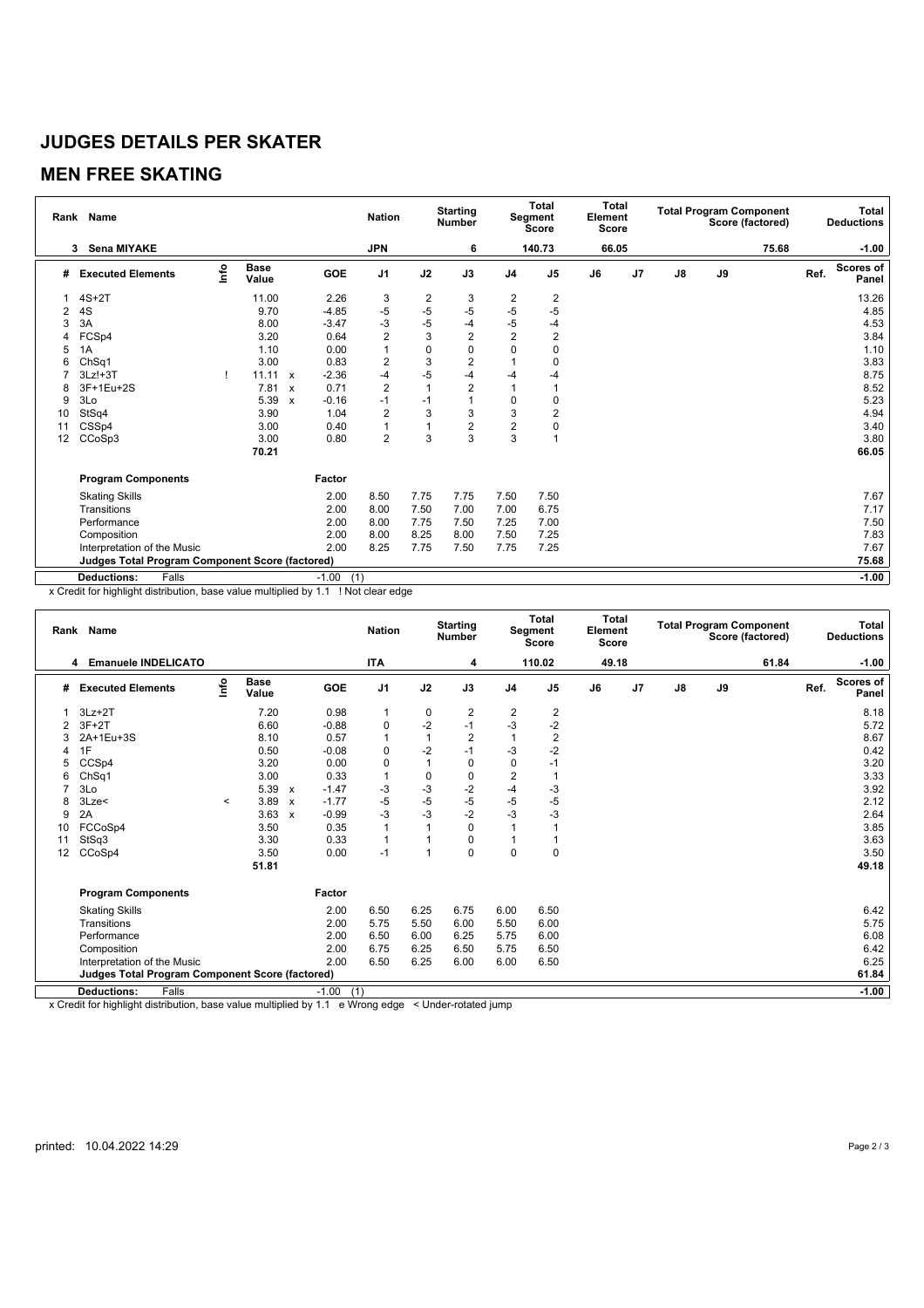# **JUDGES DETAILS PER SKATER**

### **MEN FREE SKATING**

|    | Rank Name                                              | <b>Nation</b> |                      | <b>Starting</b><br><b>Number</b> |                | <b>Total</b><br>Segment<br><b>Score</b> |      | Total<br>Element<br>Score |                | <b>Total Program Component</b><br>Score (factored) |       |                | Total<br><b>Deductions</b> |    |       |      |                           |
|----|--------------------------------------------------------|---------------|----------------------|----------------------------------|----------------|-----------------------------------------|------|---------------------------|----------------|----------------------------------------------------|-------|----------------|----------------------------|----|-------|------|---------------------------|
|    | <b>Sena MIYAKE</b><br>3                                |               |                      |                                  |                | <b>JPN</b>                              |      | 6                         |                | 140.73                                             | 66.05 |                |                            |    | 75.68 |      | $-1.00$                   |
| #  | <b>Executed Elements</b>                               | lnfo          | <b>Base</b><br>Value |                                  | GOE            | J <sub>1</sub>                          | J2   | J3                        | J <sub>4</sub> | J <sub>5</sub>                                     | J6    | J <sub>7</sub> | J8                         | J9 |       | Ref. | <b>Scores of</b><br>Panel |
|    | $4S+2T$                                                |               | 11.00                |                                  | 2.26           | 3                                       | 2    | 3                         | 2              | 2                                                  |       |                |                            |    |       |      | 13.26                     |
| 2  | 4S                                                     |               | 9.70                 |                                  | $-4.85$        | $-5$                                    | $-5$ | $-5$                      | $-5$           | $-5$                                               |       |                |                            |    |       |      | 4.85                      |
| 3  | 3A                                                     |               | 8.00                 |                                  | $-3.47$        | $-3$                                    | $-5$ | $-4$                      | $-5$           | $-4$                                               |       |                |                            |    |       |      | 4.53                      |
| 4  | FCSp4                                                  |               | 3.20                 |                                  | 0.64           | $\overline{2}$                          | 3    | 2                         | $\overline{2}$ | $\overline{2}$                                     |       |                |                            |    |       |      | 3.84                      |
| 5  | 1A                                                     |               | 1.10                 |                                  | 0.00           | 1                                       | 0    | 0                         | $\mathbf 0$    | 0                                                  |       |                |                            |    |       |      | 1.10                      |
| 6  | ChSq1                                                  |               | 3.00                 |                                  | 0.83           | $\overline{\mathbf{c}}$                 | 3    | $\overline{c}$            |                | 0                                                  |       |                |                            |    |       |      | 3.83                      |
|    | $3Lz! + 3T$                                            |               | 11.11                | $\boldsymbol{\mathsf{x}}$        | $-2.36$        | $-4$                                    | $-5$ | $-4$                      | -4             | -4                                                 |       |                |                            |    |       |      | 8.75                      |
| 8  | 3F+1Eu+2S                                              |               | 7.81                 | $\mathsf{x}$                     | 0.71           | $\overline{2}$                          |      | 2                         |                |                                                    |       |                |                            |    |       |      | 8.52                      |
| 9  | 3Lo                                                    |               | 5.39                 | $\mathbf{x}$                     | $-0.16$        | $-1$                                    | $-1$ | $\overline{1}$            | 0              | 0                                                  |       |                |                            |    |       |      | 5.23                      |
| 10 | StSq4                                                  |               | 3.90                 |                                  | 1.04           | $\overline{2}$                          | 3    | 3                         | 3              | $\overline{2}$                                     |       |                |                            |    |       |      | 4.94                      |
| 11 | CSSp4                                                  |               | 3.00                 |                                  | 0.40           | 1                                       |      | $\overline{c}$            | $\overline{c}$ | 0                                                  |       |                |                            |    |       |      | 3.40                      |
| 12 | CCoSp3                                                 |               | 3.00                 |                                  | 0.80           | $\overline{2}$                          | 3    | 3                         | 3              |                                                    |       |                |                            |    |       |      | 3.80                      |
|    |                                                        |               | 70.21                |                                  |                |                                         |      |                           |                |                                                    |       |                |                            |    |       |      | 66.05                     |
|    | <b>Program Components</b>                              |               |                      |                                  | Factor         |                                         |      |                           |                |                                                    |       |                |                            |    |       |      |                           |
|    | <b>Skating Skills</b>                                  |               |                      |                                  | 2.00           | 8.50                                    | 7.75 | 7.75                      | 7.50           | 7.50                                               |       |                |                            |    |       |      | 7.67                      |
|    | Transitions                                            |               |                      |                                  | 2.00           | 8.00                                    | 7.50 | 7.00                      | 7.00           | 6.75                                               |       |                |                            |    |       |      | 7.17                      |
|    | Performance                                            |               |                      |                                  | 2.00           | 8.00                                    | 7.75 | 7.50                      | 7.25           | 7.00                                               |       |                |                            |    |       |      | 7.50                      |
|    | Composition                                            |               |                      |                                  | 2.00           | 8.00                                    | 8.25 | 8.00                      | 7.50           | 7.25                                               |       |                |                            |    |       |      | 7.83                      |
|    | Interpretation of the Music                            |               |                      |                                  | 2.00           | 8.25                                    | 7.75 | 7.50                      | 7.75           | 7.25                                               |       |                |                            |    |       |      | 7.67                      |
|    | <b>Judges Total Program Component Score (factored)</b> |               |                      |                                  |                |                                         |      |                           |                |                                                    |       |                |                            |    |       |      | 75.68                     |
|    | <b>Deductions:</b><br>Falls                            |               |                      |                                  | $-1.00$<br>(1) |                                         |      |                           |                |                                                    |       |                |                            |    |       |      | $-1.00$                   |

x Credit for highlight distribution, base value multiplied by 1.1 ! Not clear edge

|    | Rank Name                                              |         |                      |                           |            |                |                | <b>Starting</b><br><b>Number</b> |                | Total<br>Segment<br><b>Score</b> |       | Total<br>Element<br><b>Score</b> | <b>Total Program Component</b><br>Score (factored) |    |       |      | <b>Total</b><br><b>Deductions</b> |
|----|--------------------------------------------------------|---------|----------------------|---------------------------|------------|----------------|----------------|----------------------------------|----------------|----------------------------------|-------|----------------------------------|----------------------------------------------------|----|-------|------|-----------------------------------|
|    | <b>Emanuele INDELICATO</b><br>4                        |         |                      |                           |            | <b>ITA</b>     |                | 4                                |                | 110.02                           | 49.18 |                                  |                                                    |    | 61.84 |      | $-1.00$                           |
| #  | <b>Executed Elements</b>                               | ۴٥      | <b>Base</b><br>Value |                           | <b>GOE</b> | J <sub>1</sub> | J2             | J3                               | J <sub>4</sub> | J <sub>5</sub>                   | J6    | J <sub>7</sub>                   | J8                                                 | J9 |       | Ref. | <b>Scores of</b><br>Panel         |
|    | $3Lz + 2T$                                             |         | 7.20                 |                           | 0.98       | 1              | 0              | $\overline{\mathbf{c}}$          | 2              | $\overline{2}$                   |       |                                  |                                                    |    |       |      | 8.18                              |
|    | $3F+2T$                                                |         | 6.60                 |                           | $-0.88$    | $\pmb{0}$      | $-2$           | $-1$                             | -3             | -2                               |       |                                  |                                                    |    |       |      | 5.72                              |
|    | 2A+1Eu+3S                                              |         | 8.10                 |                           | 0.57       | $\overline{1}$ | 1              | $\overline{2}$                   |                | $\overline{2}$                   |       |                                  |                                                    |    |       |      | 8.67                              |
| 4  | 1F                                                     |         | 0.50                 |                           | $-0.08$    | $\mathbf 0$    | $-2$           | $-1$                             | -3             | $-2$                             |       |                                  |                                                    |    |       |      | 0.42                              |
|    | CCSp4                                                  |         | 3.20                 |                           | 0.00       | $\mathbf 0$    | 1              | 0                                | 0              | $-1$                             |       |                                  |                                                    |    |       |      | 3.20                              |
| 6  | ChSq1                                                  |         | 3.00                 |                           | 0.33       | $\mathbf{1}$   | 0              | $\pmb{0}$                        | $\overline{2}$ |                                  |       |                                  |                                                    |    |       |      | 3.33                              |
|    | 3Lo                                                    |         | 5.39                 | $\mathbf{x}$              | $-1.47$    | $-3$           | $-3$           | $-2$                             | $-4$           | $-3$                             |       |                                  |                                                    |    |       |      | 3.92                              |
| 8  | 3Lze<                                                  | $\prec$ | 3.89                 | $\boldsymbol{\mathsf{x}}$ | $-1.77$    | $-5$           | $-5$           | $-5$                             | -5             | $-5$                             |       |                                  |                                                    |    |       |      | 2.12                              |
| 9  | 2A                                                     |         | 3.63                 | $\mathbf{x}$              | $-0.99$    | $-3$           | $-3$           | $-2$                             | -3             | $-3$                             |       |                                  |                                                    |    |       |      | 2.64                              |
| 10 | FCCoSp4                                                |         | 3.50                 |                           | 0.35       | $\overline{1}$ | $\overline{ }$ | $\Omega$                         |                |                                  |       |                                  |                                                    |    |       |      | 3.85                              |
| 11 | StSq3                                                  |         | 3.30                 |                           | 0.33       | $\overline{1}$ |                | $\mathbf 0$                      |                |                                  |       |                                  |                                                    |    |       |      | 3.63                              |
| 12 | CCoSp4                                                 |         | 3.50                 |                           | 0.00       | $-1$           | 1              | $\Omega$                         | $\Omega$       | $\Omega$                         |       |                                  |                                                    |    |       |      | 3.50                              |
|    |                                                        |         | 51.81                |                           |            |                |                |                                  |                |                                  |       |                                  |                                                    |    |       |      | 49.18                             |
|    | <b>Program Components</b>                              |         |                      |                           | Factor     |                |                |                                  |                |                                  |       |                                  |                                                    |    |       |      |                                   |
|    | <b>Skating Skills</b>                                  |         |                      |                           | 2.00       | 6.50           | 6.25           | 6.75                             | 6.00           | 6.50                             |       |                                  |                                                    |    |       |      | 6.42                              |
|    | Transitions                                            |         |                      |                           | 2.00       | 5.75           | 5.50           | 6.00                             | 5.50           | 6.00                             |       |                                  |                                                    |    |       |      | 5.75                              |
|    | Performance                                            |         |                      |                           | 2.00       | 6.50           | 6.00           | 6.25                             | 5.75           | 6.00                             |       |                                  |                                                    |    |       |      | 6.08                              |
|    | Composition                                            |         |                      |                           | 2.00       | 6.75           | 6.25           | 6.50                             | 5.75           | 6.50                             |       |                                  |                                                    |    |       |      | 6.42                              |
|    | Interpretation of the Music                            |         |                      |                           | 2.00       | 6.50           | 6.25           | 6.00                             | 6.00           | 6.50                             |       |                                  |                                                    |    |       |      | 6.25                              |
|    | <b>Judges Total Program Component Score (factored)</b> |         |                      |                           |            |                |                |                                  |                |                                  |       |                                  |                                                    |    |       |      | 61.84                             |
|    | <b>Deductions:</b><br>Falls                            |         |                      |                           | $-1.00$    | (1)            |                |                                  |                |                                  |       |                                  |                                                    |    |       |      | $-1.00$                           |
|    |                                                        |         |                      |                           | $\ddotsc$  |                | $\sim$         |                                  |                |                                  |       |                                  |                                                    |    |       |      |                                   |

x Credit for highlight distribution, base value multiplied by 1.1 e Wrong edge < Under-rotated jump